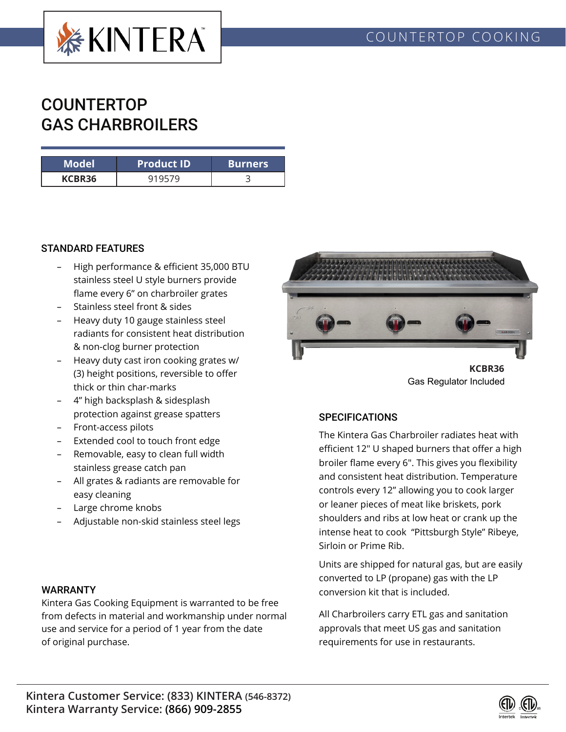

# **COUNTERTOP** GAS CHARBROILERS

| Model  | <b>Product ID</b> | <b>Burners</b> |  |  |
|--------|-------------------|----------------|--|--|
| KCBR36 |                   |                |  |  |

#### STANDARD FEATURES

- High performance & efficient 35,000 BTU stainless steel U style burners provide flame every 6" on charbroiler grates
- Stainless steel front & sides
- Heavy duty 10 gauge stainless steel radiants for consistent heat distribution & non-clog burner protection
- Heavy duty cast iron cooking grates w/ (3) height positions, reversible to offer thick or thin char-marks
- 4" high backsplash & sidesplash protection against grease spatters
- Front-access pilots
- Extended cool to touch front edge
- Removable, easy to clean full width stainless grease catch pan
- All grates & radiants are removable for easy cleaning
- Large chrome knobs
- Adjustable non-skid stainless steel legs

#### WARRANTY

Kintera Gas Cooking Equipment is warranted to be free from defects in material and workmanship under normal use and service for a period of 1 year from the date of original purchase.



Gas Regulator Included

### **SPECIFICATIONS**

The Kintera Gas Charbroiler radiates heat with efficient 12" U shaped burners that offer a high broiler flame every 6". This gives you flexibility and consistent heat distribution. Temperature controls every 12" allowing you to cook larger or leaner pieces of meat like briskets, pork shoulders and ribs at low heat or crank up the intense heat to cook "Pittsburgh Style" Ribeye, Sirloin or Prime Rib.

Units are shipped for natural gas, but are easily converted to LP (propane) gas with the LP conversion kit that is included.

All Charbroilers carry ETL gas and sanitation approvals that meet US gas and sanitation requirements for use in restaurants.